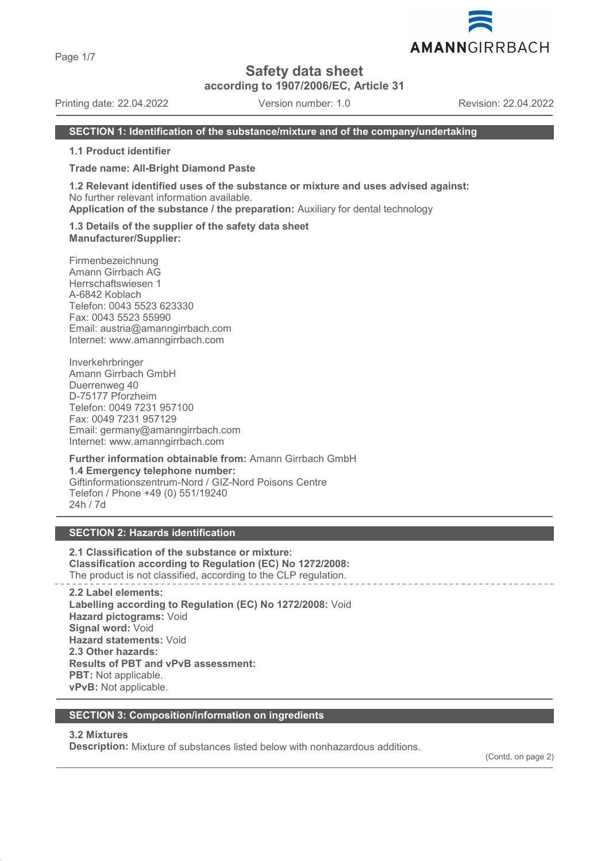Page 1/7

# **Safety data sheet**

**according to 1907/2006/EC, Article 31**

Printing date: 22.04.2022 Version number: 1.0 Revision: 22.04.2022

AMANNGIRRBACH

### **SECTION 1: Identification of the substance/mixture and of the company/undertaking**

**1.1 Product identifier**

**Trade name: All-Bright Diamond Paste**

**1.2 Relevant identified uses of the substance or mixture and uses advised against:** No further relevant information available.

**Application of the substance / the preparation:** Auxiliary for dental technology

**1.3 Details of the supplier of the safety data sheet Manufacturer/Supplier:**

Firmenbezeichnung Amann Girrbach AG Herrschaftswiesen 1 A-6842 Koblach Telefon: 0043 5523 623330 Fax: 0043 5523 55990 Email: austria@amanngirrbach.com Internet: www.amanngirrbach.com

Inverkehrbringer Amann Girrbach GmbH Duerrenweg 40 D-75177 Pforzheim Telefon: 0049 7231 957100 Fax: 0049 7231 957129 Email: germany@amanngirrbach.com Internet: www.amanngirrbach.com

**Further information obtainable from:** Amann Girrbach GmbH **1.4 Emergency telephone number:** Giftinformationszentrum-Nord / GIZ-Nord Poisons Centre Telefon / Phone +49 (0) 551/19240 24h / 7d

# **SECTION 2: Hazards identification**

**2.1 Classification of the substance or mixture: Classification according to Regulation (EC) No 1272/2008:** The product is not classified, according to the CLP regulation.

**2.2 Label elements: Labelling according to Regulation (EC) No 1272/2008:** Void **Hazard pictograms:** Void **Signal word:** Void **Hazard statements:** Void **2.3 Other hazards: Results of PBT and vPvB assessment: PBT:** Not applicable. **vPvB:** Not applicable.

### **SECTION 3: Composition/information on ingredients**

### **3.2 Mixtures**

**Description:** Mixture of substances listed below with nonhazardous additions.

(Contd. on page 2)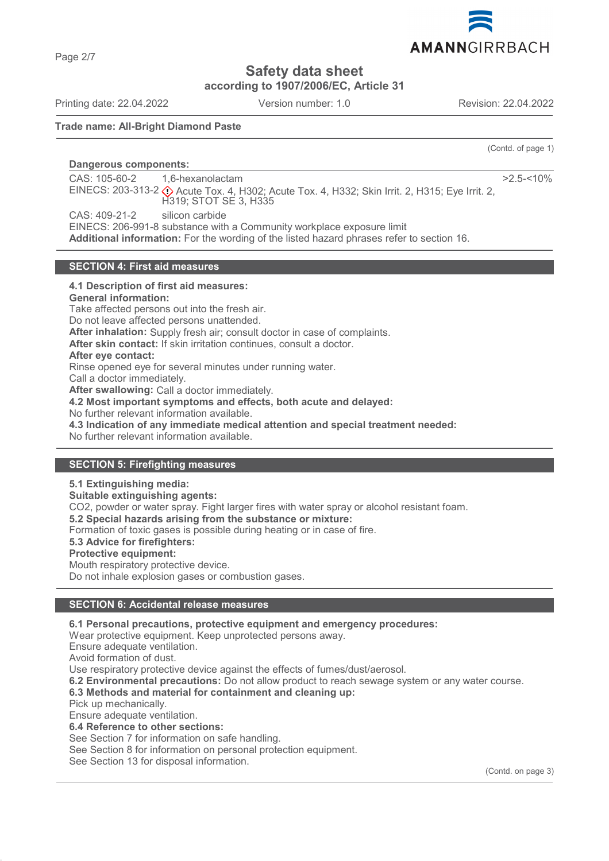Page 2/7

# **Safety data sheet**

**according to 1907/2006/EC, Article 31**

Printing date: 22.04.2022 Version number: 1.0 Revision: 22.04.2022

AMANNGIRRBACH

(Contd. of page 1)

### **Trade name: All-Bright Diamond Paste**

**Dangerous components:** 

CAS: 105-60-2 EINECS: 203-313-2 ♦ Acute Tox. 4, H302; Acute Tox. 4, H332; Skin Irrit. 2, H315; Eye Irrit. 2, 1,6-hexanolactam H319; STOT SE 3, H335  $>2.5 - 10%$ CAS: 409-21-2 silicon carbide

EINECS: 206-991-8 substance with a Community workplace exposure limit

**Additional information:** For the wording of the listed hazard phrases refer to section 16.

### **SECTION 4: First aid measures**

**4.1 Description of first aid measures: General information:** Take affected persons out into the fresh air. Do not leave affected persons unattended. **After inhalation:** Supply fresh air; consult doctor in case of complaints. **After skin contact:** If skin irritation continues, consult a doctor. **After eye contact:** Rinse opened eye for several minutes under running water. Call a doctor immediately. **After swallowing:** Call a doctor immediately. **4.2 Most important symptoms and effects, both acute and delayed:** No further relevant information available. **4.3 Indication of any immediate medical attention and special treatment needed:** No further relevant information available. **SECTION 5: Firefighting measures**

**5.1 Extinguishing media: Suitable extinguishing agents:** CO2, powder or water spray. Fight larger fires with water spray or alcohol resistant foam. **5.2 Special hazards arising from the substance or mixture:** Formation of toxic gases is possible during heating or in case of fire. **5.3 Advice for firefighters: Protective equipment:** Mouth respiratory protective device. Do not inhale explosion gases or combustion gases.

### **SECTION 6: Accidental release measures**

**6.1 Personal precautions, protective equipment and emergency procedures:**

Wear protective equipment. Keep unprotected persons away.

Ensure adequate ventilation.

Avoid formation of dust.

Use respiratory protective device against the effects of fumes/dust/aerosol.

**6.2 Environmental precautions:** Do not allow product to reach sewage system or any water course.

### **6.3 Methods and material for containment and cleaning up:**

Pick up mechanically.

Ensure adequate ventilation.

**6.4 Reference to other sections:**

See Section 7 for information on safe handling.

See Section 8 for information on personal protection equipment.

See Section 13 for disposal information.

(Contd. on page 3)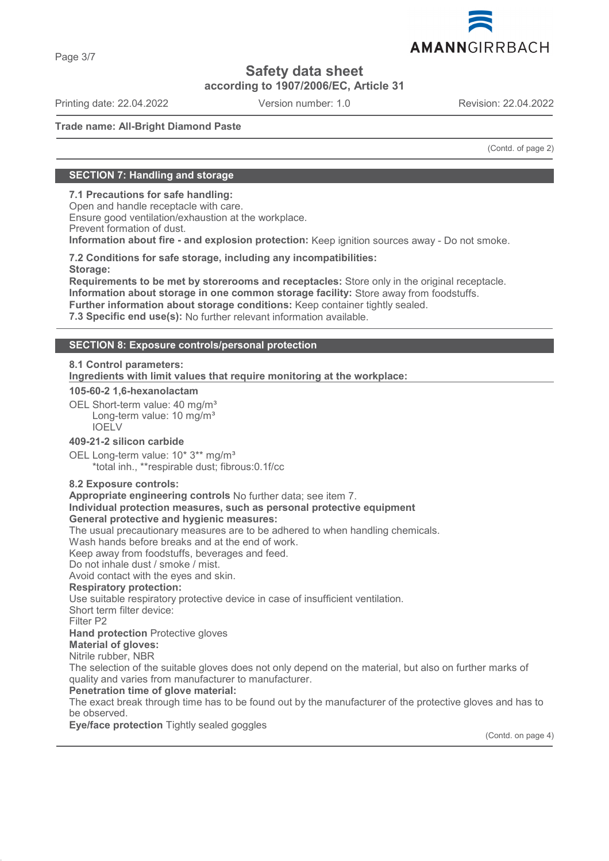

**according to 1907/2006/EC, Article 31**

Printing date: 22.04.2022 Version number: 1.0 Revision: 22.04.2022

### **Trade name: All-Bright Diamond Paste**

(Contd. of page 2)

### **SECTION 7: Handling and storage**

**7.1 Precautions for safe handling:**

Open and handle receptacle with care. Ensure good ventilation/exhaustion at the workplace. Prevent formation of dust. **Information about fire - and explosion protection:** Keep ignition sources away - Do not smoke.

**7.2 Conditions for safe storage, including any incompatibilities: Storage:**

**Requirements to be met by storerooms and receptacles:** Store only in the original receptacle. **Information about storage in one common storage facility:** Store away from foodstuffs.

**Further information about storage conditions:** Keep container tightly sealed.

**7.3 Specific end use(s):** No further relevant information available.

### **SECTION 8: Exposure controls/personal protection**

### **8.1 Control parameters:**

**Ingredients with limit values that require monitoring at the workplace:** 

#### **105-60-2 1,6-hexanolactam**

OEL Short-term value: 40 mg/m<sup>3</sup> Long-term value: 10 mg/m<sup>3</sup> IOELV

### **409-21-2 silicon carbide**

OEL Long-term value: 10\* 3\*\* mg/m<sup>3</sup> \*total inh., \*\*respirable dust; fibrous:0.1f/cc

#### **8.2 Exposure controls:**

**Appropriate engineering controls** No further data; see item 7. **Individual protection measures, such as personal protective equipment General protective and hygienic measures:**

The usual precautionary measures are to be adhered to when handling chemicals.

Wash hands before breaks and at the end of work.

Keep away from foodstuffs, beverages and feed.

Do not inhale dust / smoke / mist.

Avoid contact with the eyes and skin.

#### **Respiratory protection:**

Use suitable respiratory protective device in case of insufficient ventilation.

Short term filter device:

Filter P2

**Hand protection** Protective gloves

**Material of gloves:**

Nitrile rubber, NBR

The selection of the suitable gloves does not only depend on the material, but also on further marks of quality and varies from manufacturer to manufacturer.

### **Penetration time of glove material:**

The exact break through time has to be found out by the manufacturer of the protective gloves and has to be observed.

**Eye/face protection** Tightly sealed goggles

(Contd. on page 4)

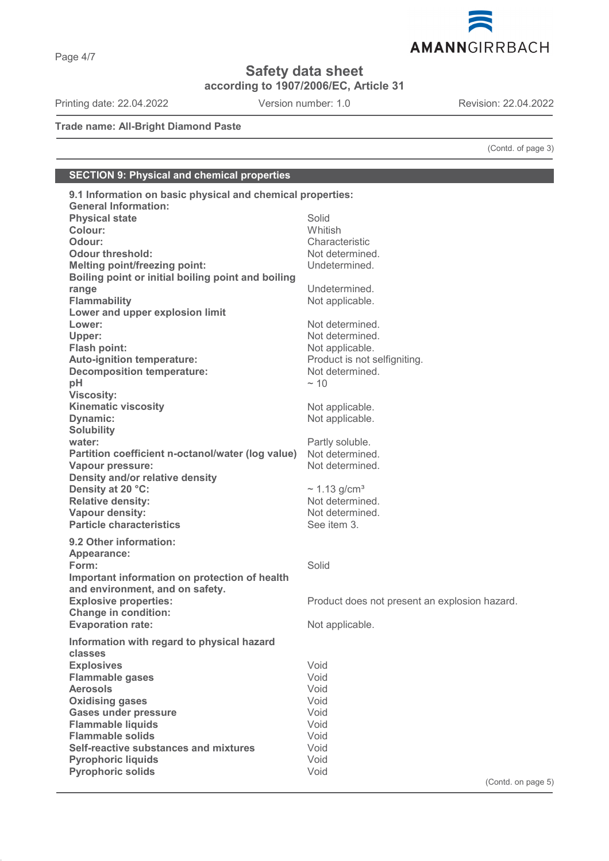

**according to 1907/2006/EC, Article 31**

Printing date: 22.04.2022 Version number: 1.0 Revision: 22.04.2022

AMANNGIRRBACH

**Trade name: All-Bright Diamond Paste**

(Contd. of page 3)

# **SECTION 9: Physical and chemical properties**

| 9.1 Information on basic physical and chemical properties: |                                               |
|------------------------------------------------------------|-----------------------------------------------|
| <b>General Information:</b>                                |                                               |
| <b>Physical state</b>                                      | Solid                                         |
| Colour:                                                    | Whitish                                       |
| Odour:                                                     | Characteristic                                |
| <b>Odour threshold:</b>                                    | Not determined.                               |
| <b>Melting point/freezing point:</b>                       | Undetermined.                                 |
| Boiling point or initial boiling point and boiling         |                                               |
| range                                                      | Undetermined.                                 |
| <b>Flammability</b>                                        | Not applicable.                               |
| Lower and upper explosion limit                            |                                               |
| Lower:                                                     | Not determined.                               |
| Upper:                                                     | Not determined.                               |
| Flash point:                                               | Not applicable.                               |
| Auto-ignition temperature:                                 | Product is not selfigniting.                  |
| <b>Decomposition temperature:</b>                          | Not determined.                               |
| pH                                                         | $~\sim$ 10                                    |
| <b>Viscosity:</b>                                          |                                               |
| <b>Kinematic viscosity</b>                                 | Not applicable.                               |
| Dynamic:                                                   | Not applicable.                               |
| <b>Solubility</b>                                          |                                               |
| water:                                                     | Partly soluble.                               |
| Partition coefficient n-octanol/water (log value)          | Not determined.                               |
| Vapour pressure:                                           | Not determined.                               |
| Density and/or relative density                            |                                               |
| Density at 20 °C:                                          | $\sim$ 1.13 g/cm <sup>3</sup>                 |
| <b>Relative density:</b>                                   | Not determined.                               |
| Vapour density:                                            | Not determined.                               |
| <b>Particle characteristics</b>                            | See item 3.                                   |
|                                                            |                                               |
| 9.2 Other information:                                     |                                               |
| Appearance:                                                |                                               |
| Form:                                                      | Solid                                         |
| Important information on protection of health              |                                               |
| and environment, and on safety.                            |                                               |
| <b>Explosive properties:</b>                               | Product does not present an explosion hazard. |
| <b>Change in condition:</b>                                |                                               |
| <b>Evaporation rate:</b>                                   | Not applicable.                               |
| Information with regard to physical hazard                 |                                               |
| classes                                                    |                                               |
| <b>Explosives</b>                                          | Void                                          |
| <b>Flammable gases</b>                                     | Void                                          |
| <b>Aerosols</b>                                            | Void                                          |
| <b>Oxidising gases</b>                                     | Void                                          |
| <b>Gases under pressure</b>                                | Void                                          |
| <b>Flammable liquids</b>                                   | Void                                          |
| <b>Flammable solids</b>                                    | Void                                          |
| Self-reactive substances and mixtures                      | Void                                          |
| <b>Pyrophoric liquids</b>                                  | Void                                          |
| <b>Pyrophoric solids</b>                                   | Void                                          |
|                                                            |                                               |

(Contd. on page 5)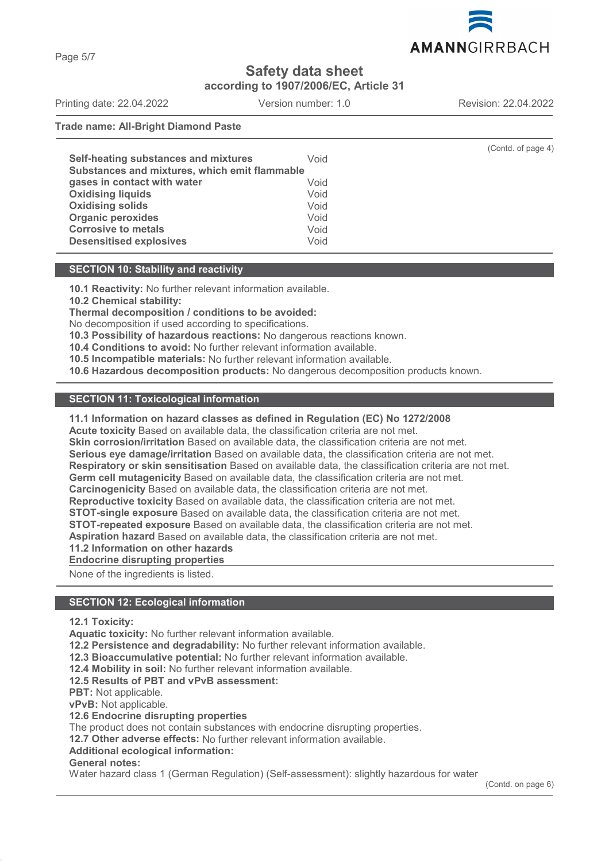

**according to 1907/2006/EC, Article 31**

Printing date: 22.04.2022 Version number: 1.0 Revision: 22.04.2022 **Trade name: All-Bright Diamond Paste**

| Self-heating substances and mixtures          | Void | (Contd. of page 4) |
|-----------------------------------------------|------|--------------------|
| Substances and mixtures, which emit flammable |      |                    |
| gases in contact with water                   | Void |                    |
| <b>Oxidising liquids</b>                      | Void |                    |
| <b>Oxidising solids</b>                       | Void |                    |
| <b>Organic peroxides</b>                      | Void |                    |
| <b>Corrosive to metals</b>                    | Void |                    |
| <b>Desensitised explosives</b>                | Void |                    |
|                                               |      |                    |

### **SECTION 10: Stability and reactivity**

**10.1 Reactivity:** No further relevant information available.

**10.2 Chemical stability:**

**Thermal decomposition / conditions to be avoided:**

No decomposition if used according to specifications.

**10.3 Possibility of hazardous reactions:** No dangerous reactions known.

**10.4 Conditions to avoid:** No further relevant information available.

**10.5 Incompatible materials:** No further relevant information available.

**10.6 Hazardous decomposition products:** No dangerous decomposition products known.

### **SECTION 11: Toxicological information**

### **11.1 Information on hazard classes as defined in Regulation (EC) No 1272/2008**

**Acute toxicity** Based on available data, the classification criteria are not met.

**Skin corrosion/irritation** Based on available data, the classification criteria are not met.

**Serious eye damage/irritation** Based on available data, the classification criteria are not met.

**Respiratory or skin sensitisation** Based on available data, the classification criteria are not met.

**Germ cell mutagenicity** Based on available data, the classification criteria are not met.

**Carcinogenicity** Based on available data, the classification criteria are not met.

**Reproductive toxicity** Based on available data, the classification criteria are not met.

**STOT-single exposure** Based on available data, the classification criteria are not met.

**STOT-repeated exposure** Based on available data, the classification criteria are not met.

**Aspiration hazard** Based on available data, the classification criteria are not met.

**11.2 Information on other hazards**

**Endocrine disrupting properties** 

None of the ingredients is listed.

### **SECTION 12: Ecological information**

### **12.1 Toxicity:**

**Aquatic toxicity:** No further relevant information available.

**12.2 Persistence and degradability:** No further relevant information available.

**12.3 Bioaccumulative potential:** No further relevant information available.

**12.4 Mobility in soil:** No further relevant information available.

**12.5 Results of PBT and vPvB assessment:**

**PBT:** Not applicable.

**vPvB:** Not applicable.

**12.6 Endocrine disrupting properties**

The product does not contain substances with endocrine disrupting properties.

**12.7 Other adverse effects:** No further relevant information available.

**Additional ecological information:**

# **General notes:**

Water hazard class 1 (German Regulation) (Self-assessment): slightly hazardous for water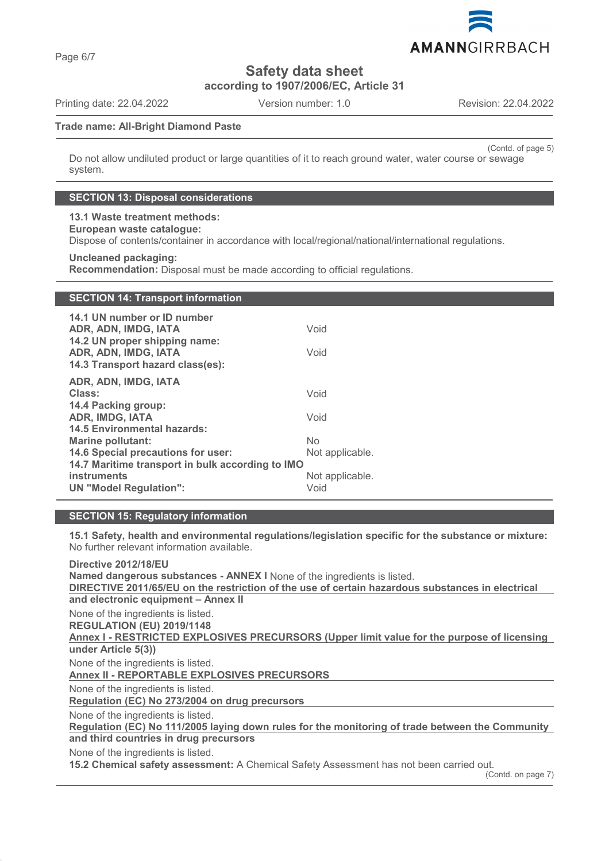AMANNGIRRBACH

# **Safety data sheet**

**according to 1907/2006/EC, Article 31**

Printing date: 22.04.2022 Version number: 1.0 Revision: 22.04.2022

### **Trade name: All-Bright Diamond Paste**

(Contd. of page 5) Do not allow undiluted product or large quantities of it to reach ground water, water course or sewage system.

### **SECTION 13: Disposal considerations**

# **13.1 Waste treatment methods:**

**European waste catalogue:**

Dispose of contents/container in accordance with local/regional/national/international regulations.

### **Uncleaned packaging:**

**Recommendation:** Disposal must be made according to official regulations.

| <b>SECTION 14: Transport information</b>                                                  |                 |
|-------------------------------------------------------------------------------------------|-----------------|
| 14.1 UN number or ID number                                                               |                 |
| ADR, ADN, IMDG, IATA                                                                      | Void            |
| 14.2 UN proper shipping name:<br>ADR, ADN, IMDG, IATA<br>14.3 Transport hazard class(es): | Void            |
| ADR, ADN, IMDG, IATA                                                                      |                 |
| Class:                                                                                    | Void            |
| 14.4 Packing group:                                                                       |                 |
| <b>ADR, IMDG, IATA</b>                                                                    | Void            |
| <b>14.5 Environmental hazards:</b><br><b>Marine pollutant:</b>                            | <b>No</b>       |
| 14.6 Special precautions for user:                                                        | Not applicable. |
| 14.7 Maritime transport in bulk according to IMO                                          |                 |
| <b>instruments</b>                                                                        | Not applicable. |
| <b>UN "Model Regulation":</b>                                                             | Void            |

### **SECTION 15: Regulatory information**

**15.1 Safety, health and environmental regulations/legislation specific for the substance or mixture:** No further relevant information available.

**Directive 2012/18/EU Named dangerous substances - ANNEX I** None of the ingredients is listed. **DIRECTIVE 2011/65/EU on the restriction of the use of certain hazardous substances in electrical and electronic equipment – Annex II** None of the ingredients is listed. **REGULATION (EU) 2019/1148** Annex I - RESTRICTED EXPLOSIVES PRECURSORS (Upper limit value for the purpose of licensing **under Article 5(3))** None of the ingredients is listed. **Annex II - REPORTABLE EXPLOSIVES PRECURSORS**  None of the ingredients is listed. **Regulation (EC) No 273/2004 on drug precursors**  None of the ingredients is listed. Regulation (EC) No 111/2005 laying down rules for the monitoring of trade between the Community **and third countries in drug precursors** None of the ingredients is listed. **15.2 Chemical safety assessment:** A Chemical Safety Assessment has not been carried out.